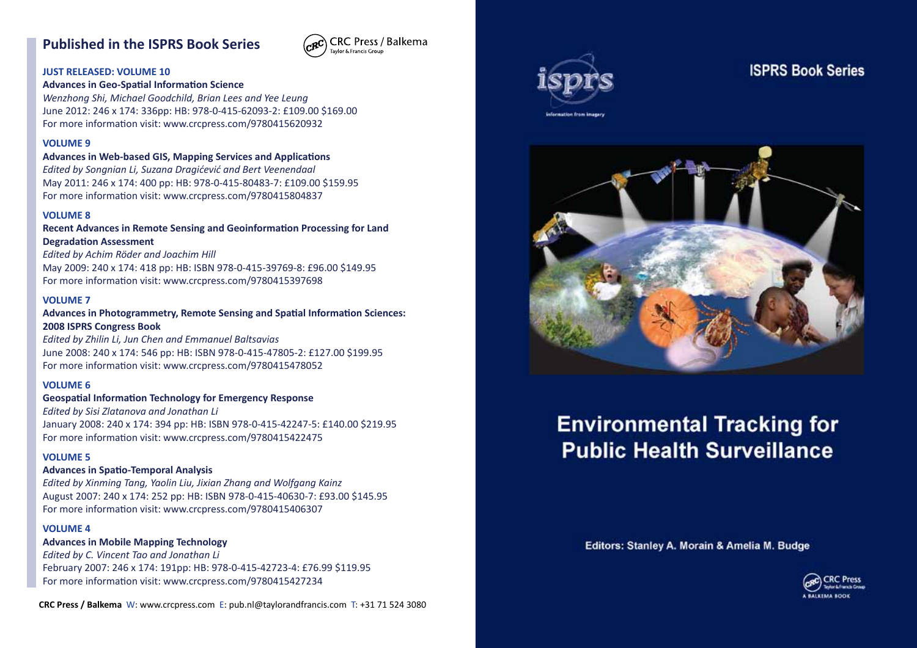# **Published in the ISPRS Book Series**



#### **JUST RELEASED: VOLUME 10**

#### **Advances in Geo-Spatial Information Science**

*Wenzhong Shi, Michael Goodchild, Brian Lees and Yee Leung* June 2012: 246 x 174: 336pp: HB: 978-0-415-62093-2: £109.00 \$169.00 For more information visit: www.crcpress.com/9780415620932

#### **VOLUME 9**

**Advances in Web-based GIS, Mapping Services and Applications**

*Edited by Songnian Li, Suzana Dragićević and Bert Veenendaal* May 2011: 246 x 174: 400 pp: HB: 978-0-415-80483-7: £109.00 \$159.95 For more information visit: www.crcpress.com/9780415804837

#### **VOLUME 8**

**Recent Advances in Remote Sensing and Geoinformation Processing for Land Degradation Assessment**

*Edited by Achim Röder and Joachim Hill* May 2009: 240 x 174: 418 pp: HB: ISBN 978-0-415-39769-8: £96.00 \$149.95 For more information visit: www.crcpress.com/9780415397698

#### **VOLUME 7**

**Advances in Photogrammetry, Remote Sensing and Spatial Information Sciences: 2008 ISPRS Congress Book**

*Edited by Zhilin Li, Jun Chen and Emmanuel Baltsavias* June 2008: 240 x 174: 546 pp: HB: ISBN 978-0-415-47805-2: £127.00 \$199.95 For more information visit: www.crcpress.com/9780415478052

#### **VOLUME 6**

**Geospatial Information Technology for Emergency Response**

*Edited by Sisi Zlatanova and Jonathan Li* January 2008: 240 x 174: 394 pp: HB: ISBN 978-0-415-42247-5: £140.00 \$219.95 For more information visit: www.crcpress.com/9780415422475

#### **VOLUME 5**

#### **Advances in Spatio-Temporal Analysis**

*Edited by Xinming Tang, Yaolin Liu, Jixian Zhang and Wolfgang Kainz* August 2007: 240 x 174: 252 pp: HB: ISBN 978-0-415-40630-7: £93.00 \$145.95 For more information visit: www.crcpress.com/9780415406307

#### **VOLUME 4**

**Advances in Mobile Mapping Technology** *Edited by C. Vincent Tao and Jonathan Li* February 2007: 246 x 174: 191pp: HB: 978-0-415-42723-4: £76.99 \$119.95 For more information visit: www.crcpress.com/9780415427234

**CRC Press / Balkema** W: www.crcpress.com E: pub.nl@taylorandfrancis.com T: +31 71 524 3080



## **ISPRS Book Series**



# **Environmental Tracking for Public Health Surveillance**

Editors: Stanley A. Morain & Amelia M. Budge